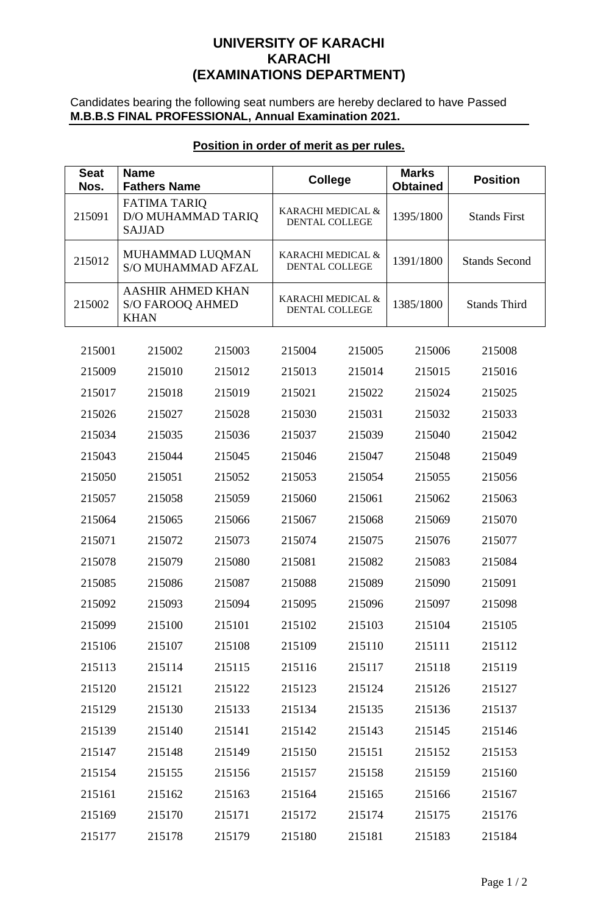# **UNIVERSITY OF KARACHI KARACHI (EXAMINATIONS DEPARTMENT)**

Candidates bearing the following seat numbers are hereby declared to have Passed **M.B.B.S FINAL PROFESSIONAL, Annual Examination 2021.**

| <b>Seat</b> | <b>Name</b>                                                        |        |                                     |        | <b>Marks</b>    |                      |
|-------------|--------------------------------------------------------------------|--------|-------------------------------------|--------|-----------------|----------------------|
| Nos.        | <b>Fathers Name</b>                                                |        | <b>College</b>                      |        | <b>Obtained</b> | <b>Position</b>      |
| 215091      | <b>FATIMA TARIQ</b><br>D/O MUHAMMAD TARIQ<br><b>SAJJAD</b>         |        | KARACHI MEDICAL &<br>DENTAL COLLEGE |        | 1395/1800       | <b>Stands First</b>  |
| 215012      | MUHAMMAD LUQMAN<br><b>S/O MUHAMMAD AFZAL</b>                       |        | KARACHI MEDICAL &<br>DENTAL COLLEGE |        | 1391/1800       | <b>Stands Second</b> |
| 215002      | <b>AASHIR AHMED KHAN</b><br><b>S/O FAROOQ AHMED</b><br><b>KHAN</b> |        | KARACHI MEDICAL &<br>DENTAL COLLEGE |        | 1385/1800       | <b>Stands Third</b>  |
| 215001      | 215002                                                             | 215003 | 215004                              | 215005 | 215006          | 215008               |
| 215009      | 215010                                                             | 215012 | 215013                              | 215014 | 215015          | 215016               |
| 215017      | 215018                                                             | 215019 | 215021                              | 215022 | 215024          | 215025               |
| 215026      | 215027                                                             | 215028 | 215030                              | 215031 | 215032          | 215033               |
| 215034      | 215035                                                             | 215036 | 215037                              | 215039 | 215040          | 215042               |
| 215043      | 215044                                                             | 215045 | 215046                              | 215047 | 215048          | 215049               |
| 215050      | 215051                                                             | 215052 | 215053                              | 215054 | 215055          | 215056               |
| 215057      | 215058                                                             | 215059 | 215060                              | 215061 | 215062          | 215063               |
| 215064      | 215065                                                             | 215066 | 215067                              | 215068 | 215069          | 215070               |
| 215071      | 215072                                                             | 215073 | 215074                              | 215075 | 215076          | 215077               |
| 215078      | 215079                                                             | 215080 | 215081                              | 215082 | 215083          | 215084               |
| 215085      | 215086                                                             | 215087 | 215088                              | 215089 | 215090          | 215091               |
| 215092      | 215093                                                             | 215094 | 215095                              | 215096 | 215097          | 215098               |
| 215099      | 215100                                                             | 215101 | 215102                              | 215103 | 215104          | 215105               |
| 215106      | 215107                                                             | 215108 | 215109                              | 215110 | 215111          | 215112               |
| 215113      | 215114                                                             | 215115 | 215116                              | 215117 | 215118          | 215119               |
| 215120      | 215121                                                             | 215122 | 215123                              | 215124 | 215126          | 215127               |
| 215129      | 215130                                                             | 215133 | 215134                              | 215135 | 215136          | 215137               |
| 215139      | 215140                                                             | 215141 | 215142                              | 215143 | 215145          | 215146               |
| 215147      | 215148                                                             | 215149 | 215150                              | 215151 | 215152          | 215153               |
| 215154      | 215155                                                             | 215156 | 215157                              | 215158 | 215159          | 215160               |
| 215161      | 215162                                                             | 215163 | 215164                              | 215165 | 215166          | 215167               |
| 215169      | 215170                                                             | 215171 | 215172                              | 215174 | 215175          | 215176               |
| 215177      | 215178                                                             | 215179 | 215180                              | 215181 | 215183          | 215184               |

# **Position in order of merit as per rules.**